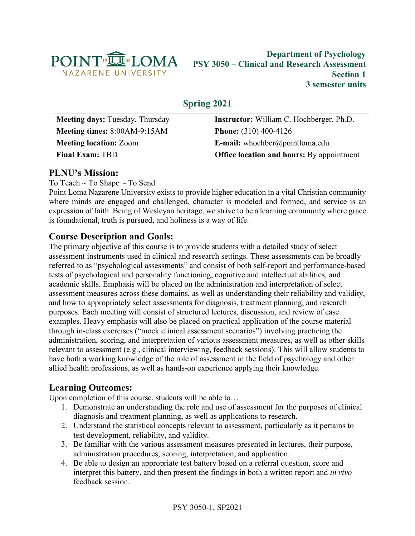

### **Department of Psychology PSY 3050 – Clinical and Research Assessment Section 1 3 semester units**

# **Spring 2021**

| Meeting days: Tuesday, Thursday | <b>Instructor:</b> William C. Hochberger, Ph.D.  |
|---------------------------------|--------------------------------------------------|
| Meeting times: 8:00AM-9:15AM    | <b>Phone:</b> $(310)$ 400-4126                   |
| <b>Meeting location: Zoom</b>   | <b>E-mail:</b> whochber@pointloma.edu            |
| <b>Final Exam: TBD</b>          | <b>Office location and hours:</b> By appointment |

## **PLNU's Mission:**

To Teach ~ To Shape ~ To Send

Point Loma Nazarene University exists to provide higher education in a vital Christian community where minds are engaged and challenged, character is modeled and formed, and service is an expression of faith. Being of Wesleyan heritage, we strive to be a learning community where grace is foundational, truth is pursued, and holiness is a way of life.

### **Course Description and Goals:**

The primary objective of this course is to provide students with a detailed study of select assessment instruments used in clinical and research settings. These assessments can be broadly referred to as "psychological assessments" and consist of both self-report and performance-based tests of psychological and personality functioning, cognitive and intellectual abilities, and academic skills. Emphasis will be placed on the administration and interpretation of select assessment measures across these domains, as well as understanding their reliability and validity, and how to appropriately select assessments for diagnosis, treatment planning, and research purposes. Each meeting will consist of structured lectures, discussion, and review of case examples. Heavy emphasis will also be placed on practical application of the course material through in-class exercises ("mock clinical assessment scenarios") involving practicing the administration, scoring, and interpretation of various assessment measures, as well as other skills relevant to assessment (e.g., clinical interviewing, feedback sessions). This will allow students to have both a working knowledge of the role of assessment in the field of psychology and other allied health professions, as well as hands-on experience applying their knowledge.

## **Learning Outcomes:**

Upon completion of this course, students will be able to…

- 1. Demonstrate an understanding the role and use of assessment for the purposes of clinical diagnosis and treatment planning, as well as applications to research.
- 2. Understand the statistical concepts relevant to assessment, particularly as it pertains to test development, reliability, and validity.
- 3. Be familiar with the various assessment measures presented in lectures, their purpose, administration procedures, scoring, interpretation, and application.
- 4. Be able to design an appropriate test battery based on a referral question, score and interpret this battery, and then present the findings in both a written report and *in vivo* feedback session.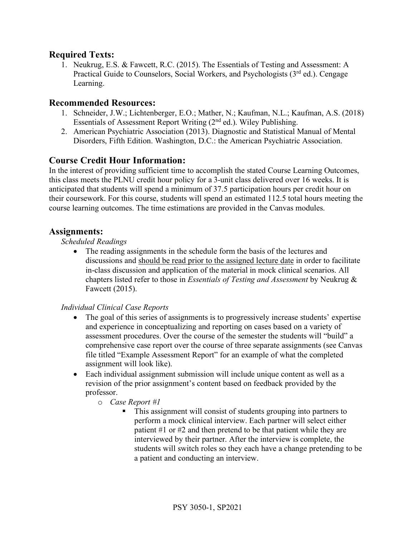### **Required Texts:**

1. Neukrug, E.S. & Fawcett, R.C. (2015). The Essentials of Testing and Assessment: A Practical Guide to Counselors, Social Workers, and Psychologists (3<sup>rd</sup> ed.). Cengage Learning.

#### **Recommended Resources:**

- 1. Schneider, J.W.; Lichtenberger, E.O.; Mather, N.; Kaufman, N.L.; Kaufman, A.S. (2018) Essentials of Assessment Report Writing (2nd ed.). Wiley Publishing.
- 2. American Psychiatric Association (2013). Diagnostic and Statistical Manual of Mental Disorders, Fifth Edition. Washington, D.C.: the American Psychiatric Association.

### **Course Credit Hour Information:**

In the interest of providing sufficient time to accomplish the stated Course Learning Outcomes, this class meets the PLNU credit hour policy for a 3-unit class delivered over 16 weeks. It is anticipated that students will spend a minimum of 37.5 participation hours per credit hour on their coursework. For this course, students will spend an estimated 112.5 total hours meeting the course learning outcomes. The time estimations are provided in the Canvas modules.

#### **Assignments:**

#### *Scheduled Readings*

• The reading assignments in the schedule form the basis of the lectures and discussions and should be read prior to the assigned lecture date in order to facilitate in-class discussion and application of the material in mock clinical scenarios. All chapters listed refer to those in *Essentials of Testing and Assessment* by Neukrug & Fawcett (2015).

#### *Individual Clinical Case Reports*

- The goal of this series of assignments is to progressively increase students' expertise and experience in conceptualizing and reporting on cases based on a variety of assessment procedures. Over the course of the semester the students will "build" a comprehensive case report over the course of three separate assignments (see Canvas file titled "Example Assessment Report" for an example of what the completed assignment will look like).
- Each individual assignment submission will include unique content as well as a revision of the prior assignment's content based on feedback provided by the professor.
	- o *Case Report #1*
		- This assignment will consist of students grouping into partners to perform a mock clinical interview. Each partner will select either patient #1 or #2 and then pretend to be that patient while they are interviewed by their partner. After the interview is complete, the students will switch roles so they each have a change pretending to be a patient and conducting an interview.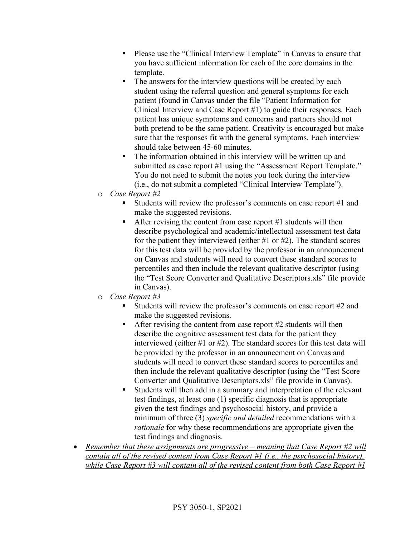- Please use the "Clinical Interview Template" in Canvas to ensure that you have sufficient information for each of the core domains in the template.
- The answers for the interview questions will be created by each student using the referral question and general symptoms for each patient (found in Canvas under the file "Patient Information for Clinical Interview and Case Report #1) to guide their responses. Each patient has unique symptoms and concerns and partners should not both pretend to be the same patient. Creativity is encouraged but make sure that the responses fit with the general symptoms. Each interview should take between 45-60 minutes.
- The information obtained in this interview will be written up and submitted as case report #1 using the "Assessment Report Template." You do not need to submit the notes you took during the interview (i.e., do not submit a completed "Clinical Interview Template").
- o *Case Report #2*
	- Students will review the professor's comments on case report #1 and make the suggested revisions.
	- After revising the content from case report  $#1$  students will then describe psychological and academic/intellectual assessment test data for the patient they interviewed (either #1 or #2). The standard scores for this test data will be provided by the professor in an announcement on Canvas and students will need to convert these standard scores to percentiles and then include the relevant qualitative descriptor (using the "Test Score Converter and Qualitative Descriptors.xls" file provide in Canvas).
- o *Case Report #3*
	- § Students will review the professor's comments on case report #2 and make the suggested revisions.
	- After revising the content from case report  $#2$  students will then describe the cognitive assessment test data for the patient they interviewed (either #1 or #2). The standard scores for this test data will be provided by the professor in an announcement on Canvas and students will need to convert these standard scores to percentiles and then include the relevant qualitative descriptor (using the "Test Score Converter and Qualitative Descriptors.xls" file provide in Canvas).
	- Students will then add in a summary and interpretation of the relevant test findings, at least one (1) specific diagnosis that is appropriate given the test findings and psychosocial history, and provide a minimum of three (3) *specific and detailed* recommendations with a *rationale* for why these recommendations are appropriate given the test findings and diagnosis.
- *Remember that these assignments are progressive – meaning that Case Report #2 will contain all of the revised content from Case Report #1 (i.e., the psychosocial history), while Case Report #3 will contain all of the revised content from both Case Report #1*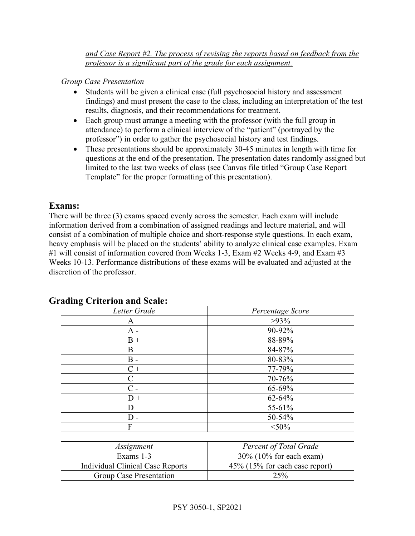*and Case Report #2. The process of revising the reports based on feedback from the professor is a significant part of the grade for each assignment.* 

*Group Case Presentation*

- Students will be given a clinical case (full psychosocial history and assessment findings) and must present the case to the class, including an interpretation of the test results, diagnosis, and their recommendations for treatment.
- Each group must arrange a meeting with the professor (with the full group in attendance) to perform a clinical interview of the "patient" (portrayed by the professor") in order to gather the psychosocial history and test findings.
- These presentations should be approximately 30-45 minutes in length with time for questions at the end of the presentation. The presentation dates randomly assigned but limited to the last two weeks of class (see Canvas file titled "Group Case Report Template" for the proper formatting of this presentation).

### **Exams:**

There will be three (3) exams spaced evenly across the semester. Each exam will include information derived from a combination of assigned readings and lecture material, and will consist of a combination of multiple choice and short-response style questions. In each exam, heavy emphasis will be placed on the students' ability to analyze clinical case examples. Exam #1 will consist of information covered from Weeks 1-3, Exam #2 Weeks 4-9, and Exam #3 Weeks 10-13. Performance distributions of these exams will be evaluated and adjusted at the discretion of the professor.

| ъ<br>Letter Grade | Percentage Score |
|-------------------|------------------|
| A                 | $>93\%$          |
| $A -$             | 90-92%           |
| $B +$             | 88-89%           |
| B                 | 84-87%           |
| $B -$             | 80-83%           |
| $C +$             | 77-79%           |
| C                 | $70 - 76%$       |
| $C -$             | 65-69%           |
| $D +$             | $62 - 64%$       |
| D                 | 55-61%           |
| D -               | 50-54%           |
| F                 | $<$ 50%          |

### **Grading Criterion and Scale:**

| Assignment                       | <b>Percent of Total Grade</b>     |
|----------------------------------|-----------------------------------|
| Exams 1-3                        | $30\%$ (10% for each exam)        |
| Individual Clinical Case Reports | $45\%$ (15% for each case report) |
| Group Case Presentation          | 25%                               |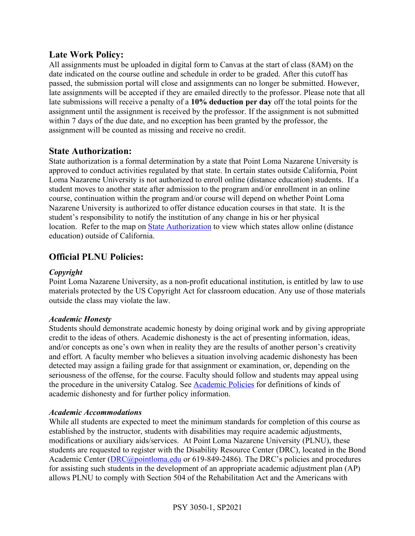### **Late Work Policy:**

All assignments must be uploaded in digital form to Canvas at the start of class (8AM) on the date indicated on the course outline and schedule in order to be graded. After this cutoff has passed, the submission portal will close and assignments can no longer be submitted. However, late assignments will be accepted if they are emailed directly to the professor. Please note that all late submissions will receive a penalty of a **10% deduction per day** off the total points for the assignment until the assignment is received by the professor. If the assignment is not submitted within 7 days of the due date, and no exception has been granted by the professor, the assignment will be counted as missing and receive no credit.

### **State Authorization:**

State authorization is a formal determination by a state that Point Loma Nazarene University is approved to conduct activities regulated by that state. In certain states outside California, Point Loma Nazarene University is not authorized to enroll online (distance education) students. If a student moves to another state after admission to the program and/or enrollment in an online course, continuation within the program and/or course will depend on whether Point Loma Nazarene University is authorized to offer distance education courses in that state. It is the student's responsibility to notify the institution of any change in his or her physical location. Refer to the map on State Authorization to view which states allow online (distance education) outside of California.

## **Official PLNU Policies:**

#### *Copyright*

Point Loma Nazarene University, as a non-profit educational institution, is entitled by law to use materials protected by the US Copyright Act for classroom education. Any use of those materials outside the class may violate the law.

#### *Academic Honesty*

Students should demonstrate academic honesty by doing original work and by giving appropriate credit to the ideas of others. Academic dishonesty is the act of presenting information, ideas, and/or concepts as one's own when in reality they are the results of another person's creativity and effort. A faculty member who believes a situation involving academic dishonesty has been detected may assign a failing grade for that assignment or examination, or, depending on the seriousness of the offense, for the course. Faculty should follow and students may appeal using the procedure in the university Catalog. See Academic Policies for definitions of kinds of academic dishonesty and for further policy information.

#### *Academic Accommodations*

While all students are expected to meet the minimum standards for completion of this course as established by the instructor, students with disabilities may require academic adjustments, modifications or auxiliary aids/services. At Point Loma Nazarene University (PLNU), these students are requested to register with the Disability Resource Center (DRC), located in the Bond Academic Center (DRC@pointloma.edu or 619-849-2486). The DRC's policies and procedures for assisting such students in the development of an appropriate academic adjustment plan (AP) allows PLNU to comply with Section 504 of the Rehabilitation Act and the Americans with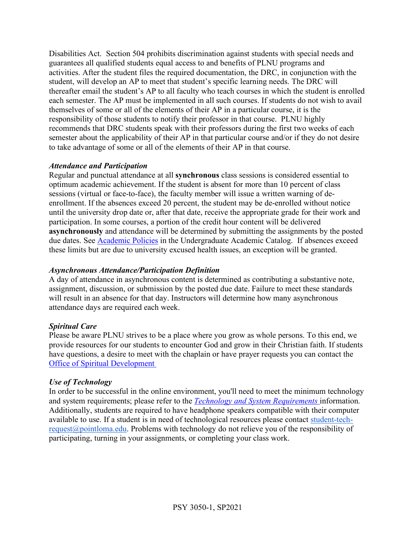Disabilities Act. Section 504 prohibits discrimination against students with special needs and guarantees all qualified students equal access to and benefits of PLNU programs and activities. After the student files the required documentation, the DRC, in conjunction with the student, will develop an AP to meet that student's specific learning needs. The DRC will thereafter email the student's AP to all faculty who teach courses in which the student is enrolled each semester. The AP must be implemented in all such courses. If students do not wish to avail themselves of some or all of the elements of their AP in a particular course, it is the responsibility of those students to notify their professor in that course. PLNU highly recommends that DRC students speak with their professors during the first two weeks of each semester about the applicability of their AP in that particular course and/or if they do not desire to take advantage of some or all of the elements of their AP in that course.

#### *Attendance and Participation*

Regular and punctual attendance at all **synchronous** class sessions is considered essential to optimum academic achievement. If the student is absent for more than 10 percent of class sessions (virtual or face-to-face), the faculty member will issue a written warning of deenrollment. If the absences exceed 20 percent, the student may be de-enrolled without notice until the university drop date or, after that date, receive the appropriate grade for their work and participation. In some courses, a portion of the credit hour content will be delivered **asynchronously** and attendance will be determined by submitting the assignments by the posted due dates. See Academic Policies in the Undergraduate Academic Catalog. If absences exceed these limits but are due to university excused health issues, an exception will be granted.

#### *Asynchronous Attendance/Participation Definition*

A day of attendance in asynchronous content is determined as contributing a substantive note, assignment, discussion, or submission by the posted due date. Failure to meet these standards will result in an absence for that day. Instructors will determine how many asynchronous attendance days are required each week.

#### *Spiritual Care*

Please be aware PLNU strives to be a place where you grow as whole persons. To this end, we provide resources for our students to encounter God and grow in their Christian faith. If students have questions, a desire to meet with the chaplain or have prayer requests you can contact the Office of Spiritual Development

#### *Use of Technology*

In order to be successful in the online environment, you'll need to meet the minimum technology and system requirements; please refer to the *Technology and System Requirements* information. Additionally, students are required to have headphone speakers compatible with their computer available to use. If a student is in need of technological resources please contact student-techrequest@pointloma.edu. Problems with technology do not relieve you of the responsibility of participating, turning in your assignments, or completing your class work.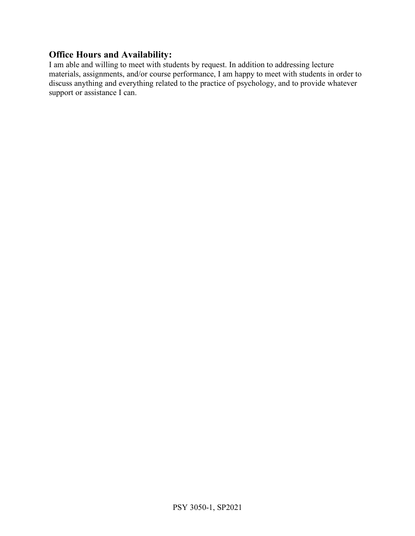### **Office Hours and Availability:**

I am able and willing to meet with students by request. In addition to addressing lecture materials, assignments, and/or course performance, I am happy to meet with students in order to discuss anything and everything related to the practice of psychology, and to provide whatever support or assistance I can.